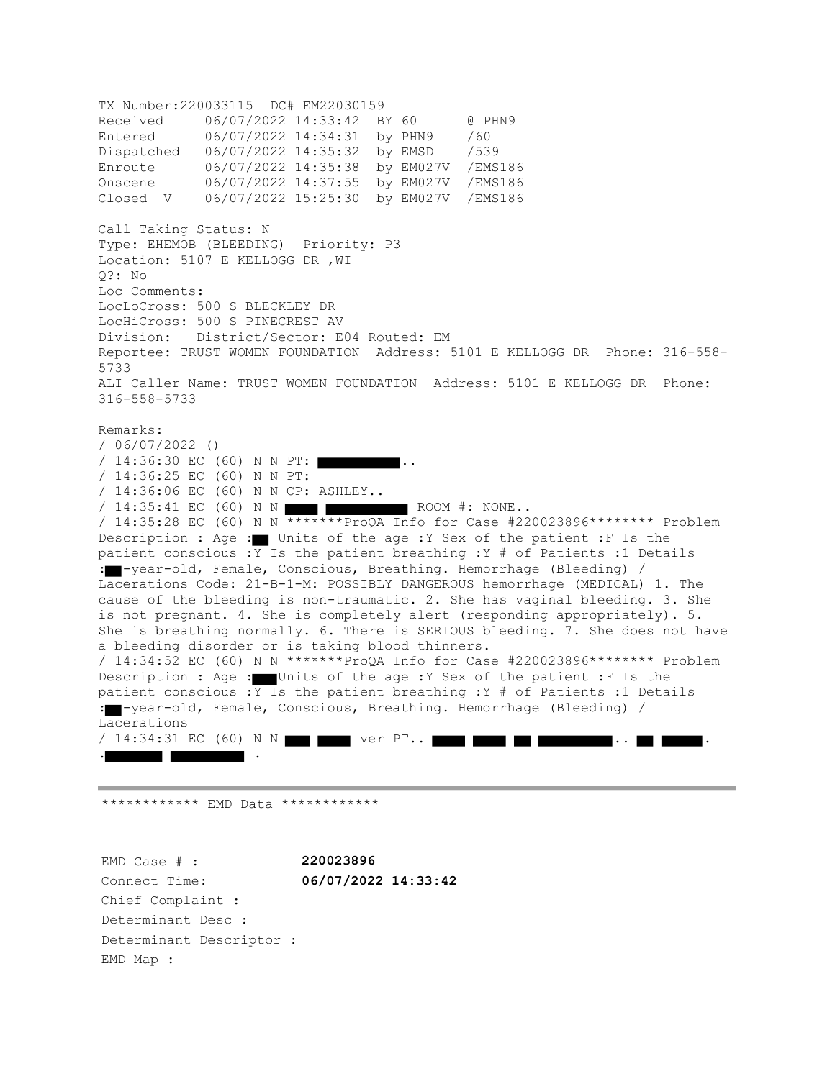TX Number:220033115 DC# EM22030159 Received 06/07/2022 14:33:42 BY 60 @ PHN9 Entered 06/07/2022 14:34:31 by PHN9 /60 Dispatched 06/07/2022 14:35:32 by EMSD /539 Enroute 06/07/2022 14:35:38 by EM027V /EMS186 Onscene 06/07/2022 14:37:55 by EM027V /EMS186 Closed V 06/07/2022 15:25:30 by EM027V /EMS186 Call Taking Status: N Type: EHEMOB (BLEEDING) Priority: P3 Location: 5107 E KELLOGG DR ,WI Q?: No Loc Comments: LocLoCross: 500 S BLECKLEY DR LocHiCross: 500 S PINECREST AV Division: District/Sector: E04 Routed: EM Reportee: TRUST WOMEN FOUNDATION Address: 5101 E KELLOGG DR Phone: 316-558- 5733 ALI Caller Name: TRUST WOMEN FOUNDATION Address: 5101 E KELLOGG DR Phone: 316-558-5733 Remarks: / 06/07/2022 () / 14:36:30 EC (60) N N PT:  $\blacksquare$ .. / 14:36:25 EC (60) N N PT: / 14:36:06 EC (60) N N CP: ASHLEY.. /  $14:35:41$  EC (60) N N  $\blacksquare$   $\blacksquare$  ROOM #: NONE.. / 14:35:28 EC (60) N N \*\*\*\*\*\*\*ProQA Info for Case #220023896\*\*\*\*\*\*\*\* Problem Description : Age : Units of the age :Y Sex of the patient :F Is the patient conscious :Y Is the patient breathing :Y # of Patients :1 Details : -year-old, Female, Conscious, Breathing. Hemorrhage (Bleeding) / Lacerations Code: 21-B-1-M: POSSIBLY DANGEROUS hemorrhage (MEDICAL) 1. The cause of the bleeding is non-traumatic. 2. She has vaginal bleeding. 3. She is not pregnant. 4. She is completely alert (responding appropriately). 5. She is breathing normally. 6. There is SERIOUS bleeding. 7. She does not have a bleeding disorder or is taking blood thinners. / 14:34:52 EC (60) N N \*\*\*\*\*\*\*ProQA Info for Case #220023896\*\*\*\*\*\*\*\* Problem Description : Age : Units of the age :Y Sex of the patient :F Is the patient conscious :  $\overline{Y}$  Is the patient breathing : Y # of Patients : 1 Details : -year-old, Female, Conscious, Breathing. Hemorrhage (Bleeding) / Lacerations / 14:34:31 EC (60) N N ver PT.. . .

\*\*\*\*\*\*\*\*\*\*\*\* EMD Data \*\*\*\*\*\*\*\*\*\*\*\*

EMD Case # : **220023896** Connect Time: **06/07/2022 14:33:42** Chief Complaint : Determinant Desc : Determinant Descriptor : EMD Map :